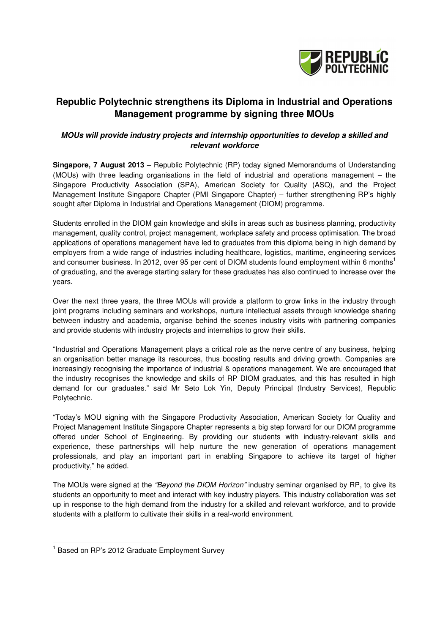

# **Republic Polytechnic strengthens its Diploma in Industrial and Operations Management programme by signing three MOUs**

## **MOUs will provide industry projects and internship opportunities to develop a skilled and relevant workforce**

**Singapore, 7 August 2013** – Republic Polytechnic (RP) today signed Memorandums of Understanding (MOUs) with three leading organisations in the field of industrial and operations management – the Singapore Productivity Association (SPA), American Society for Quality (ASQ), and the Project Management Institute Singapore Chapter (PMI Singapore Chapter) – further strengthening RP's highly sought after Diploma in Industrial and Operations Management (DIOM) programme.

Students enrolled in the DIOM gain knowledge and skills in areas such as business planning, productivity management, quality control, project management, workplace safety and process optimisation. The broad applications of operations management have led to graduates from this diploma being in high demand by employers from a wide range of industries including healthcare, logistics, maritime, engineering services and consumer business. In 2012, over 95 per cent of DIOM students found employment within 6 months<sup>1</sup> of graduating, and the average starting salary for these graduates has also continued to increase over the years.

Over the next three years, the three MOUs will provide a platform to grow links in the industry through joint programs including seminars and workshops, nurture intellectual assets through knowledge sharing between industry and academia, organise behind the scenes industry visits with partnering companies and provide students with industry projects and internships to grow their skills.

"Industrial and Operations Management plays a critical role as the nerve centre of any business, helping an organisation better manage its resources, thus boosting results and driving growth. Companies are increasingly recognising the importance of industrial & operations management. We are encouraged that the industry recognises the knowledge and skills of RP DIOM graduates, and this has resulted in high demand for our graduates." said Mr Seto Lok Yin, Deputy Principal (Industry Services), Republic Polytechnic.

"Today's MOU signing with the Singapore Productivity Association, American Society for Quality and Project Management Institute Singapore Chapter represents a big step forward for our DIOM programme offered under School of Engineering. By providing our students with industry-relevant skills and experience, these partnerships will help nurture the new generation of operations management professionals, and play an important part in enabling Singapore to achieve its target of higher productivity," he added.

The MOUs were signed at the "Beyond the DIOM Horizon" industry seminar organised by RP, to give its students an opportunity to meet and interact with key industry players. This industry collaboration was set up in response to the high demand from the industry for a skilled and relevant workforce, and to provide students with a platform to cultivate their skills in a real-world environment.

 1 Based on RP's 2012 Graduate Employment Survey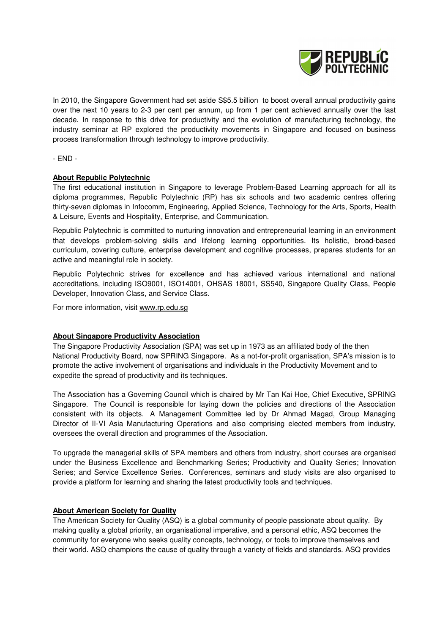

In 2010, the Singapore Government had set aside S\$5.5 billion to boost overall annual productivity gains over the next 10 years to 2-3 per cent per annum, up from 1 per cent achieved annually over the last decade. In response to this drive for productivity and the evolution of manufacturing technology, the industry seminar at RP explored the productivity movements in Singapore and focused on business process transformation through technology to improve productivity.

- END -

### **About Republic Polytechnic**

The first educational institution in Singapore to leverage Problem-Based Learning approach for all its diploma programmes, Republic Polytechnic (RP) has six schools and two academic centres offering thirty-seven diplomas in Infocomm, Engineering, Applied Science, Technology for the Arts, Sports, Health & Leisure, Events and Hospitality, Enterprise, and Communication.

Republic Polytechnic is committed to nurturing innovation and entrepreneurial learning in an environment that develops problem-solving skills and lifelong learning opportunities. Its holistic, broad-based curriculum, covering culture, enterprise development and cognitive processes, prepares students for an active and meaningful role in society.

Republic Polytechnic strives for excellence and has achieved various international and national accreditations, including ISO9001, ISO14001, OHSAS 18001, SS540, Singapore Quality Class, People Developer, Innovation Class, and Service Class.

For more information, visit www.rp.edu.sg

### **About Singapore Productivity Association**

The Singapore Productivity Association (SPA) was set up in 1973 as an affiliated body of the then National Productivity Board, now SPRING Singapore. As a not-for-profit organisation, SPA's mission is to promote the active involvement of organisations and individuals in the Productivity Movement and to expedite the spread of productivity and its techniques.

The Association has a Governing Council which is chaired by Mr Tan Kai Hoe, Chief Executive, SPRING Singapore. The Council is responsible for laying down the policies and directions of the Association consistent with its objects. A Management Committee led by Dr Ahmad Magad, Group Managing Director of II-VI Asia Manufacturing Operations and also comprising elected members from industry, oversees the overall direction and programmes of the Association.

To upgrade the managerial skills of SPA members and others from industry, short courses are organised under the Business Excellence and Benchmarking Series; Productivity and Quality Series; Innovation Series; and Service Excellence Series. Conferences, seminars and study visits are also organised to provide a platform for learning and sharing the latest productivity tools and techniques.

### **About American Society for Quality**

The American Society for Quality (ASQ) is a global community of people passionate about quality. By making quality a global priority, an organisational imperative, and a personal ethic, ASQ becomes the community for everyone who seeks quality concepts, technology, or tools to improve themselves and their world. ASQ champions the cause of quality through a variety of fields and standards. ASQ provides